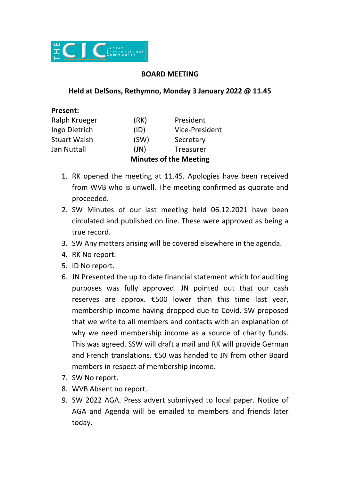

## **BOARD MEETING**

## **Held at DelSons, Rethymno, Monday 3 January 2022 @ 11.45**

## **Present:**

|                     | <b>Minutes of the Meeting</b> |                       |
|---------------------|-------------------------------|-----------------------|
| Jan Nuttall         | (JN)                          | Treasurer             |
| <b>Stuart Walsh</b> | (SW)                          | Secretary             |
| Ingo Dietrich       | (ID)                          | <b>Vice-President</b> |
| Ralph Krueger       | (RK)                          | President             |

- 1. RK opened the meeting at 11.45. Apologies have been received from WVB who is unwell. The meeting confirmed as quorate and proceeded.
- 2. SW Minutes of our last meeting held 06.12.2021 have been circulated and published on line. These were approved as being a true record.
- 3. SW Any matters arising will be covered elsewhere in the agenda.
- 4. RK No report.
- 5. ID No report.
- 6. JN Presented the up to date financial statement which for auditing purposes was fully approved. JN pointed out that our cash reserves are approx. €500 lower than this time last year, membership income having dropped due to Covid. SW proposed that we write to all members and contacts with an explanation of why we need membership income as a source of charity funds. This was agreed. SSW will draft a mail and RK will provide German and French translations. €50 was handed to JN from other Board members in respect of membership income.
- 7. SW No report.
- 8. WVB Absent no report.
- 9. SW 2022 AGA. Press advert submiyyed to local paper. Notice of AGA and Agenda will be emailed to members and friends later today.